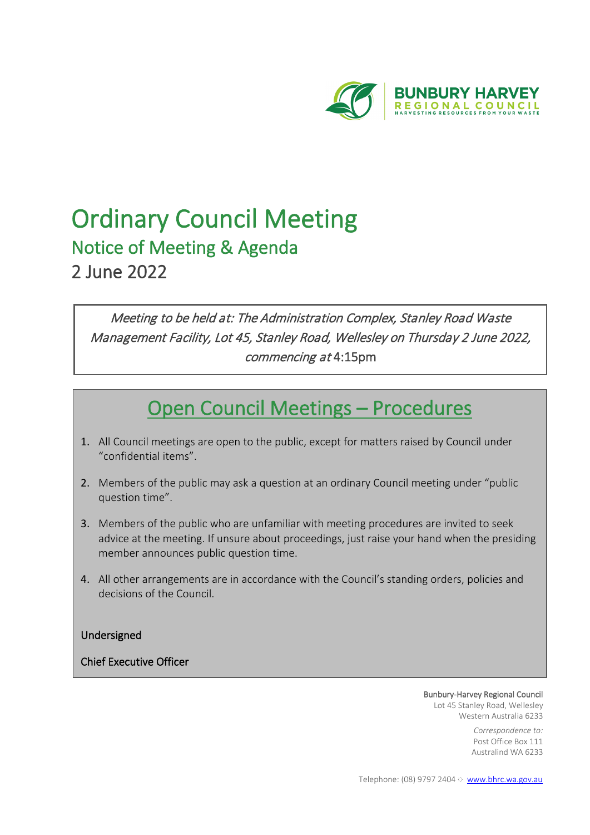

# **Ordinary Council Meeting**<br>Notice of Meeting & Agenda 2 June 2022

Meeting to be held at: The Administration Complex, Stanley Road Waste Management Facility, Lot 45, Stanley Road, Wellesley on Thursday 2 June 2022, commencing at 4:15pm

## Open Council Meetings – Procedures

- 1. All Council meetings are open to the public, except for matters raised by Council under "confidential items".
- 2. Members of the public may ask a question at an ordinary Council meeting under "public question time".
- 3. Members of the public who are unfamiliar with meeting procedures are invited to seek advice at the meeting. If unsure about proceedings, just raise your hand when the presiding member announces public question time.
- 4. All other arrangements are in accordance with the Council's standing orders, policies and decisions of the Council.

Undersigned

l,

Chief Executive Officer

Bunbury-Harvey Regional Council Lot 45 Stanley Road, Wellesley Western Australia 6233

> *Correspondence to:* Post Office Box 111 Australind WA 6233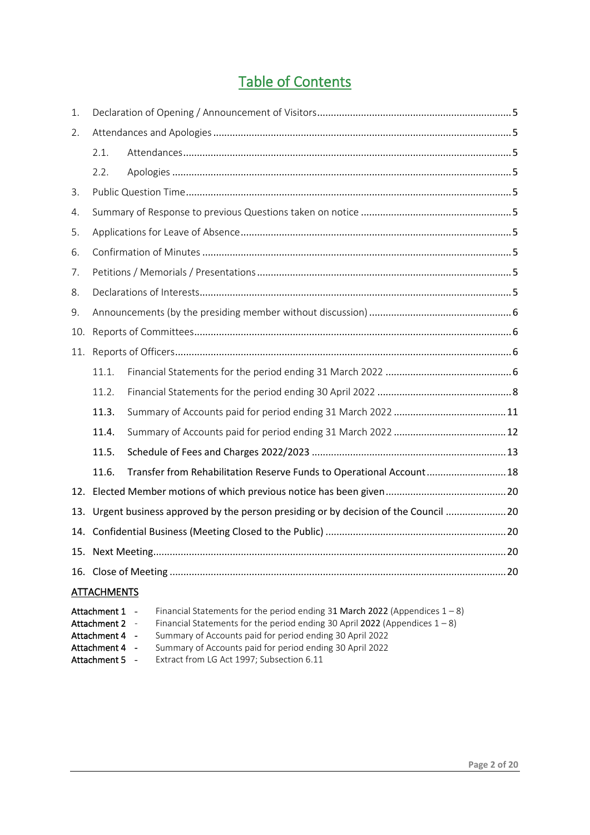## Table of Contents

| 1.  |                    |                                                                                       |  |
|-----|--------------------|---------------------------------------------------------------------------------------|--|
| 2.  |                    |                                                                                       |  |
|     | 2.1.               |                                                                                       |  |
|     | 2.2.               |                                                                                       |  |
| 3.  |                    |                                                                                       |  |
| 4.  |                    |                                                                                       |  |
| 5.  |                    |                                                                                       |  |
| 6.  |                    |                                                                                       |  |
| 7.  |                    |                                                                                       |  |
| 8.  |                    |                                                                                       |  |
| 9.  |                    |                                                                                       |  |
| 10. |                    |                                                                                       |  |
| 11. |                    |                                                                                       |  |
|     | 11.1.              |                                                                                       |  |
|     | 11.2.              |                                                                                       |  |
|     | 11.3.              |                                                                                       |  |
|     | 11.4.              |                                                                                       |  |
|     | 11.5.              |                                                                                       |  |
|     | 11.6.              | Transfer from Rehabilitation Reserve Funds to Operational Account 18                  |  |
| 12. |                    |                                                                                       |  |
|     |                    | 13. Urgent business approved by the person presiding or by decision of the Council 20 |  |
|     |                    |                                                                                       |  |
|     |                    |                                                                                       |  |
|     |                    |                                                                                       |  |
|     | <b>ATTACHMENTS</b> |                                                                                       |  |
|     | Attachment 1 -     | Financial Statements for the period ending 31 March 2022 (Appendices $1 - 8$ )        |  |

Attachment 2 - Financial Statements for the period ending 30 April 2022 (Appendices  $1 - 8$ )

- Attachment 4 Summary of Accounts paid for period ending 30 April 2022<br>Attachment 4 Summary of Accounts paid for period ending 30 April 2022
- Summary of Accounts paid for period ending 30 April 2022
- Attachment 5 Extract from LG Act 1997; Subsection 6.11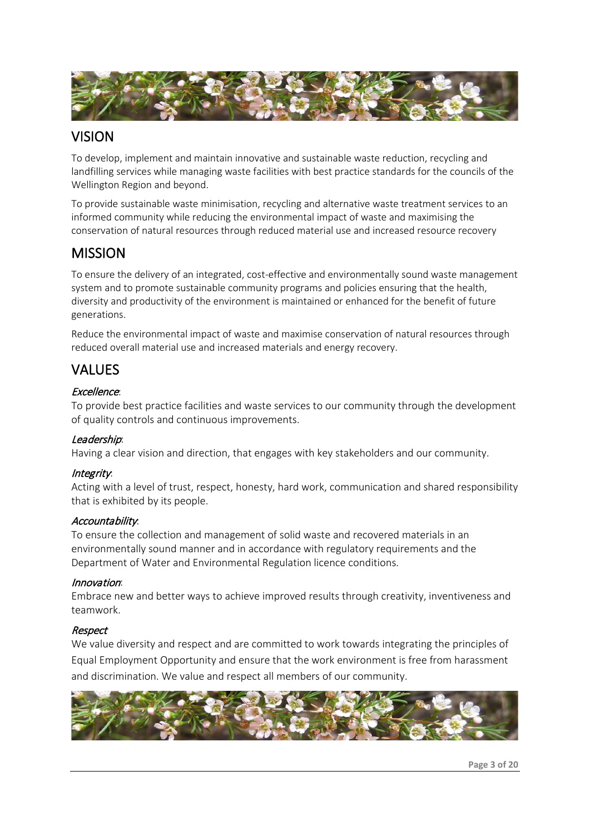

## VISION

To develop, implement and maintain innovative and sustainable waste reduction, recycling and landfilling services while managing waste facilities with best practice standards for the councils of the Wellington Region and beyond.

To provide sustainable waste minimisation, recycling and alternative waste treatment services to an informed community while reducing the environmental impact of waste and maximising the conservation of natural resources through reduced material use and increased resource recovery

## **MISSION**

To ensure the delivery of an integrated, cost-effective and environmentally sound waste management system and to promote sustainable community programs and policies ensuring that the health, diversity and productivity of the environment is maintained or enhanced for the benefit of future generations.

Reduce the environmental impact of waste and maximise conservation of natural resources through reduced overall material use and increased materials and energy recovery.

## VALUES

#### Excellence:

To provide best practice facilities and waste services to our community through the development of quality controls and continuous improvements.

#### Leadership:

Having a clear vision and direction, that engages with key stakeholders and our community.

#### Integrity:

Acting with a level of trust, respect, honesty, hard work, communication and shared responsibility that is exhibited by its people.

#### Accountability:

To ensure the collection and management of solid waste and recovered materials in an environmentally sound manner and in accordance with regulatory requirements and the Department of Water and Environmental Regulation licence conditions.

#### Innovation:

Embrace new and better ways to achieve improved results through creativity, inventiveness and teamwork.

#### Respect

We value diversity and respect and are committed to work towards integrating the principles of Equal Employment Opportunity and ensure that the work environment is free from harassment and discrimination. We value and respect all members of our community.

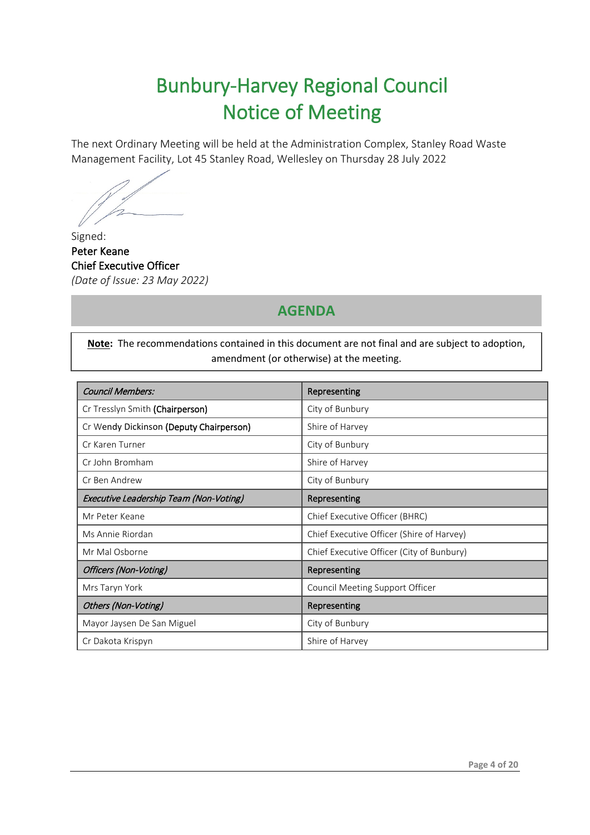## Bunbury-Harvey Regional Council Notice of Meeting

The next Ordinary Meeting will be held at the Administration Complex, Stanley Road Waste Management Facility, Lot 45 Stanley Road, Wellesley on Thursday 28 July 2022

Signed: Peter Keane Chief Executive Officer *(Date of Issue: 23 May 2022)* 

. . . .

## **AGENDA**

**Note:** The recommendations contained in this document are not final and are subject to adoption, amendment (or otherwise) at the meeting.

ׇ֖֖֚֚֚֬֕

| <b>Council Members:</b>                 | Representing                              |
|-----------------------------------------|-------------------------------------------|
| Cr Tresslyn Smith (Chairperson)         | City of Bunbury                           |
| Cr Wendy Dickinson (Deputy Chairperson) | Shire of Harvey                           |
| Cr Karen Turner                         | City of Bunbury                           |
| Cr John Bromham                         | Shire of Harvey                           |
| Cr Ben Andrew                           | City of Bunbury                           |
| Executive Leadership Team (Non-Voting)  | Representing                              |
| Mr Peter Keane                          | Chief Executive Officer (BHRC)            |
| Ms Annie Riordan                        | Chief Executive Officer (Shire of Harvey) |
| Mr Mal Osborne                          | Chief Executive Officer (City of Bunbury) |
| Officers (Non-Voting)                   | Representing                              |
| Mrs Taryn York                          | Council Meeting Support Officer           |
| Others (Non-Voting)                     | Representing                              |
| Mayor Jaysen De San Miguel              | City of Bunbury                           |
| Cr Dakota Krispyn                       | Shire of Harvey                           |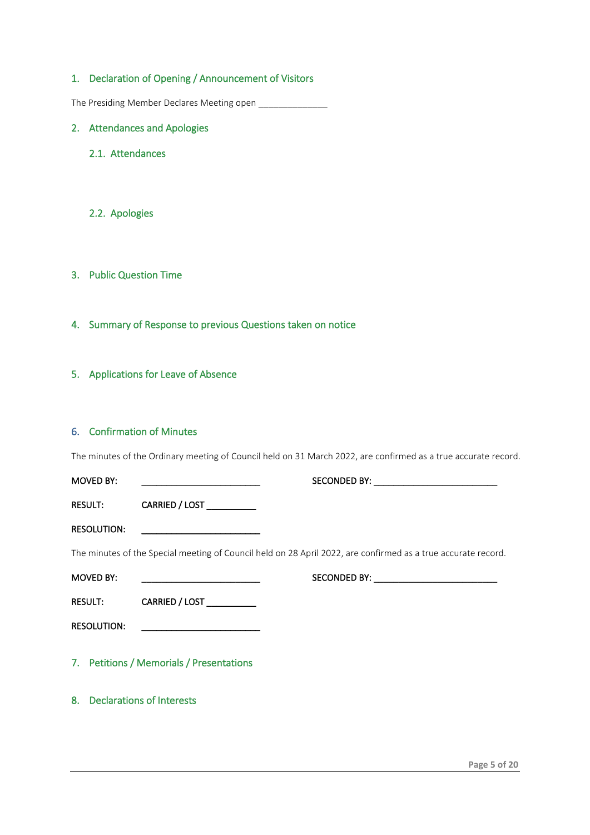#### <span id="page-4-0"></span>1. Declaration of Opening / Announcement of Visitors

The Presiding Member Declares Meeting open \_\_\_\_\_\_\_\_\_\_\_\_\_\_

- <span id="page-4-2"></span><span id="page-4-1"></span>2. Attendances and Apologies
	- 2.1. Attendances

#### <span id="page-4-3"></span>2.2. Apologies

- <span id="page-4-4"></span>3. Public Question Time
- <span id="page-4-5"></span>4. Summary of Response to previous Questions taken on notice
- <span id="page-4-6"></span>5. Applications for Leave of Absence

#### <span id="page-4-7"></span>6. Confirmation of Minutes

The minutes of the Ordinary meeting of Council held on 31 March 2022, are confirmed as a true accurate record.

<span id="page-4-9"></span><span id="page-4-8"></span>

|                    | <b>MOVED BY:</b>   |                                                   |                                                                                                               |
|--------------------|--------------------|---------------------------------------------------|---------------------------------------------------------------------------------------------------------------|
|                    |                    | RESULT: CARRIED / LOST __________                 |                                                                                                               |
|                    | <b>RESOLUTION:</b> | <u> 1989 - Johann Barbara, martxa alemaniar a</u> |                                                                                                               |
|                    |                    |                                                   | The minutes of the Special meeting of Council held on 28 April 2022, are confirmed as a true accurate record. |
|                    | <b>MOVED BY:</b>   |                                                   |                                                                                                               |
|                    |                    | RESULT: CARRIED / LOST                            |                                                                                                               |
| <b>RESOLUTION:</b> |                    |                                                   |                                                                                                               |
|                    |                    | 7. Petitions / Memorials / Presentations          |                                                                                                               |
|                    |                    | 8. Declarations of Interests                      |                                                                                                               |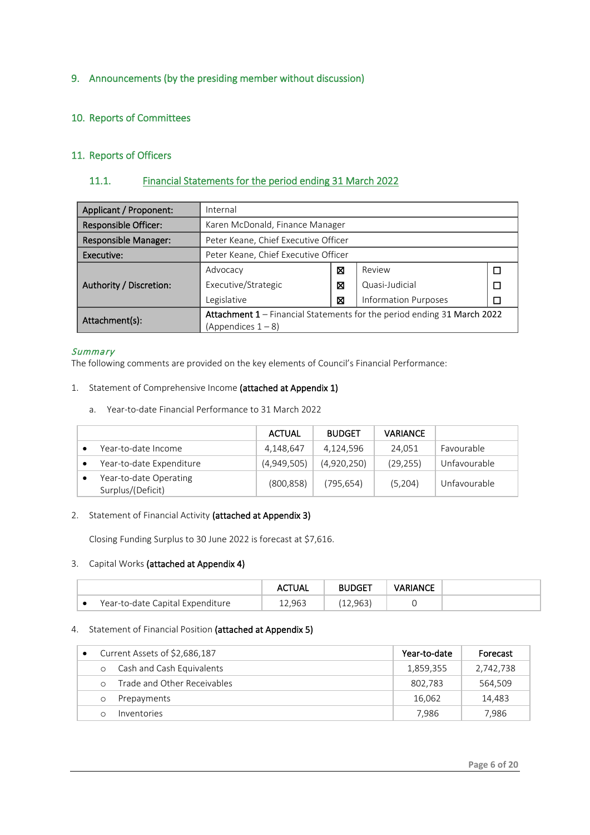#### <span id="page-5-0"></span>9. Announcements (by the presiding member without discussion)

#### <span id="page-5-1"></span>10. Reports of Committees

#### <span id="page-5-2"></span>11. Reports of Officers

#### <span id="page-5-3"></span>11.1. Financial Statements for the period ending 31 March 2022

| Applicant / Proponent:      | Internal                                                                |   |                             |  |  |
|-----------------------------|-------------------------------------------------------------------------|---|-----------------------------|--|--|
| Responsible Officer:        | Karen McDonald, Finance Manager                                         |   |                             |  |  |
| <b>Responsible Manager:</b> | Peter Keane, Chief Executive Officer                                    |   |                             |  |  |
| Executive:                  | Peter Keane, Chief Executive Officer                                    |   |                             |  |  |
|                             | Advocacy                                                                | ⊠ | Review                      |  |  |
| Authority / Discretion:     | Executive/Strategic                                                     | ⊠ | Quasi-Judicial              |  |  |
|                             | Legislative                                                             | ⊠ | <b>Information Purposes</b> |  |  |
| Attachment(s):              | Attachment 1 - Financial Statements for the period ending 31 March 2022 |   |                             |  |  |
|                             | (Appendices $1 - 8$ )                                                   |   |                             |  |  |

#### **Summary**

The following comments are provided on the key elements of Council's Financial Performance:

- 1. Statement of Comprehensive Income (attached at Appendix 1)
	- a. Year-to-date Financial Performance to 31 March 2022

|                                             | <b>ACTUAL</b> | <b>BUDGET</b> | <b>VARIANCE</b> |              |
|---------------------------------------------|---------------|---------------|-----------------|--------------|
| Year-to-date Income                         | 4,148,647     | 4,124,596     | 24.051          | Favourable   |
| Year-to-date Expenditure                    | (4,949,505)   | (4,920,250)   | (29, 255)       | Unfavourable |
| Year-to-date Operating<br>Surplus/(Deficit) | (800, 858)    | (795,654)     | (5,204)         | Unfavourable |

#### 2. Statement of Financial Activity (attached at Appendix 3)

Closing Funding Surplus to 30 June 2022 is forecast at \$7,616.

#### 3. Capital Works (attached at Appendix 4)

|   |                                  | the contract of the contract of the | the contract of the contract of | <b><i>VARIANCE</i></b> |  |
|---|----------------------------------|-------------------------------------|---------------------------------|------------------------|--|
| ▼ | Year-to-date Capital Expenditure | ンシー                                 |                                 |                        |  |

#### 4. Statement of Financial Position (attached at Appendix 5)

|          | Current Assets of \$2,686,187 | Year-to-date | Forecast  |
|----------|-------------------------------|--------------|-----------|
| $\circ$  | Cash and Cash Equivalents     | 1,859,355    | 2,742,738 |
| $\Omega$ | Trade and Other Receivables   | 802,783      | 564,509   |
| O        | Prepayments                   | 16.062       | 14.483    |
|          | Inventories                   | 7.986        | 7.986     |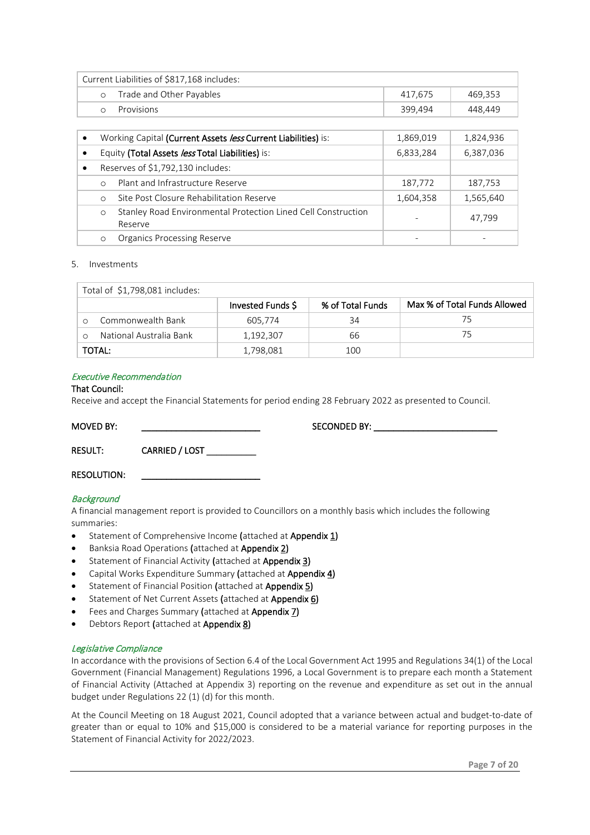| Current Liabilities of \$817,168 includes: |                          |         |         |  |  |
|--------------------------------------------|--------------------------|---------|---------|--|--|
| $\circ$                                    | Trade and Other Payables | 417.675 | 469.353 |  |  |
|                                            | Provisions               | 399.494 | 448.449 |  |  |

|           |            | Working Capital (Current Assets less Current Liabilities) is:            | 1,869,019 | 1,824,936 |
|-----------|------------|--------------------------------------------------------------------------|-----------|-----------|
|           |            | Equity (Total Assets less Total Liabilities) is:                         | 6,833,284 | 6,387,036 |
| $\bullet$ |            | Reserves of \$1,792,130 includes:                                        |           |           |
|           | $\bigcirc$ | Plant and Infrastructure Reserve                                         | 187,772   | 187,753   |
|           | $\Omega$   | Site Post Closure Rehabilitation Reserve                                 | 1,604,358 | 1,565,640 |
|           | $\circ$    | Stanley Road Environmental Protection Lined Cell Construction<br>Reserve |           | 47.799    |
|           | $\circ$    | <b>Organics Processing Reserve</b>                                       |           |           |

#### 5. Investments

|        | Total of \$1,798,081 includes: |                   |                  |                              |
|--------|--------------------------------|-------------------|------------------|------------------------------|
|        |                                | Invested Funds \$ | % of Total Funds | Max % of Total Funds Allowed |
|        | Commonwealth Bank              | 605,774           | 34               | 75                           |
|        | National Australia Bank        | 1,192,307         | 66               | 75                           |
| TOTAL: |                                | 1,798,081         | 100              |                              |

#### Executive Recommendation

#### That Council:

Receive and accept the Financial Statements for period ending 28 February 2022 as presented to Council.

RESULT: CARRIED / LOST

MOVED BY: \_\_\_\_\_\_\_\_\_\_\_\_\_\_\_\_\_\_\_\_\_\_\_\_ SECONDED BY: \_\_\_\_\_\_\_\_\_\_\_\_\_\_\_\_\_\_\_\_\_\_\_\_\_

RESOLUTION:

#### **Background**

A financial management report is provided to Councillors on a monthly basis which includes the following summaries:

- Statement of Comprehensive Income (attached at Appendix 1)
- Banksia Road Operations (attached at Appendix 2)
- Statement of Financial Activity (attached at Appendix 3)
- Capital Works Expenditure Summary (attached at Appendix 4)
- Statement of Financial Position (attached at Appendix 5)
- Statement of Net Current Assets (attached at Appendix 6)
- Fees and Charges Summary (attached at Appendix 7)
- Debtors Report (attached at Appendix 8)

#### Legislative Compliance

In accordance with the provisions of Section 6.4 of the Local Government Act 1995 and Regulations 34(1) of the Local Government (Financial Management) Regulations 1996, a Local Government is to prepare each month a Statement of Financial Activity (Attached at Appendix 3) reporting on the revenue and expenditure as set out in the annual budget under Regulations 22 (1) (d) for this month.

At the Council Meeting on 18 August 2021, Council adopted that a variance between actual and budget-to-date of greater than or equal to 10% and \$15,000 is considered to be a material variance for reporting purposes in the Statement of Financial Activity for 2022/2023.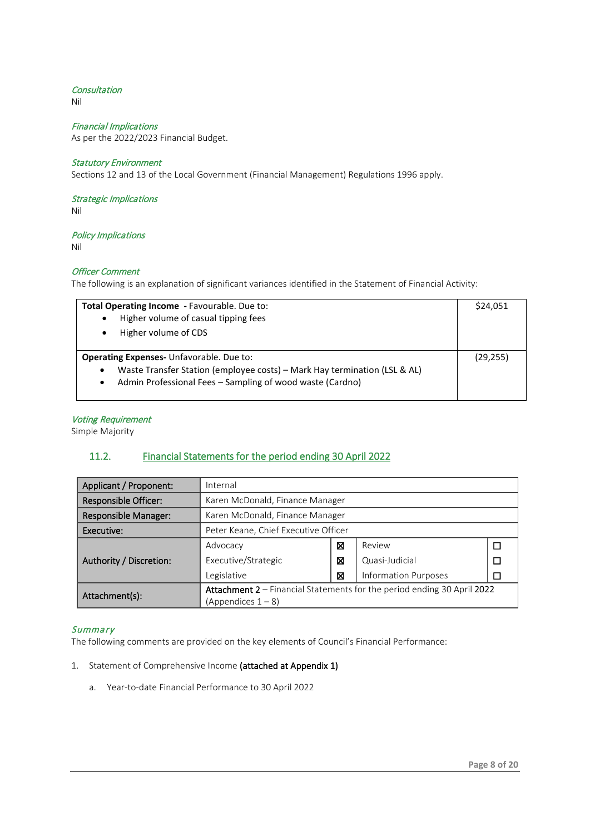#### **Consultation**

Nil

#### Financial Implications

As per the 2022/2023 Financial Budget.

#### Statutory Environment

Sections 12 and 13 of the Local Government (Financial Management) Regulations 1996 apply.

#### Strategic Implications

Nil

#### Policy Implications

Nil

#### Officer Comment

The following is an explanation of significant variances identified in the Statement of Financial Activity:

| Total Operating Income - Favourable. Due to:<br>Higher volume of casual tipping fees<br>$\bullet$<br>Higher volume of CDS<br>$\bullet$                                                                              |  |  |  |
|---------------------------------------------------------------------------------------------------------------------------------------------------------------------------------------------------------------------|--|--|--|
| <b>Operating Expenses-</b> Unfavorable. Due to:<br>Waste Transfer Station (employee costs) – Mark Hay termination (LSL & AL)<br>$\bullet$<br>Admin Professional Fees - Sampling of wood waste (Cardno)<br>$\bullet$ |  |  |  |

#### Voting Requirement

Simple Majority

#### <span id="page-7-0"></span>11.2. Financial Statements for the period ending 30 April 2022

| Applicant / Proponent:      | Internal                                                                |   |                             |  |  |
|-----------------------------|-------------------------------------------------------------------------|---|-----------------------------|--|--|
| <b>Responsible Officer:</b> | Karen McDonald, Finance Manager                                         |   |                             |  |  |
| <b>Responsible Manager:</b> | Karen McDonald, Finance Manager                                         |   |                             |  |  |
| Executive:                  | Peter Keane, Chief Executive Officer                                    |   |                             |  |  |
|                             | Advocacy                                                                | ⊠ | Review                      |  |  |
| Authority / Discretion:     | Executive/Strategic                                                     | ⊠ | Quasi-Judicial              |  |  |
|                             | Legislative                                                             | ⊠ | <b>Information Purposes</b> |  |  |
| Attachment(s):              | Attachment 2 – Financial Statements for the period ending 30 April 2022 |   |                             |  |  |
|                             | (Appendices $1 - 8$ )                                                   |   |                             |  |  |

#### **Summary**

The following comments are provided on the key elements of Council's Financial Performance:

#### 1. Statement of Comprehensive Income (attached at Appendix 1)

a. Year-to-date Financial Performance to 30 April 2022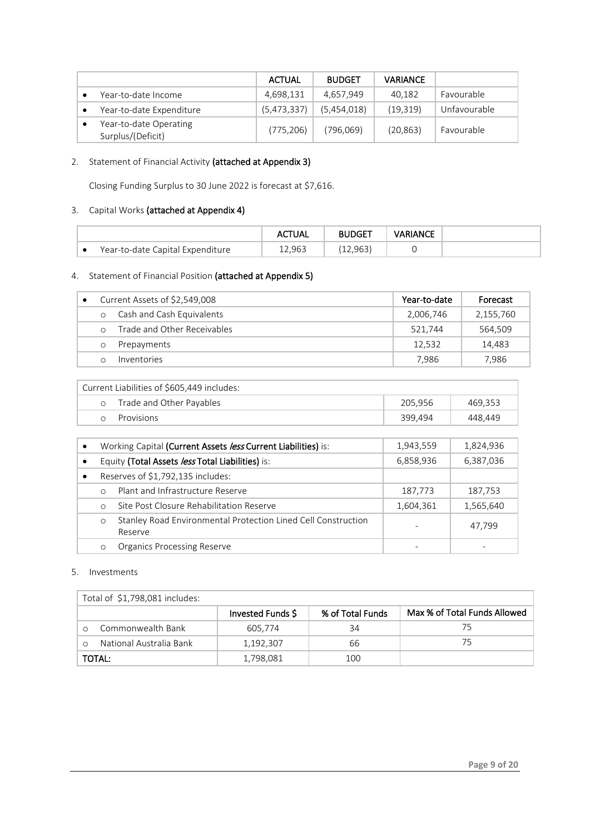|                                             | ACTUAL      | <b>BUDGET</b> | <b>VARIANCE</b> |              |
|---------------------------------------------|-------------|---------------|-----------------|--------------|
| Year-to-date Income                         | 4,698,131   | 4.657.949     | 40,182          | Favourable   |
| Year-to-date Expenditure                    | (5,473,337) | (5,454,018)   | (19,319)        | Unfavourable |
| Year-to-date Operating<br>Surplus/(Deficit) | (775, 206)  | (796,069)     | (20, 863)       | Favourable   |

#### 2. Statement of Financial Activity (attached at Appendix 3)

Closing Funding Surplus to 30 June 2022 is forecast at \$7,616.

#### 3. Capital Works (attached at Appendix 4)

|                                  | ACTUAL | <b>BUDGET</b> | VARIANCE |  |
|----------------------------------|--------|---------------|----------|--|
| Year-to-date Capital Expenditure | 12.963 | 12,963'       |          |  |

#### 4. Statement of Financial Position (attached at Appendix 5)

|            | Current Assets of \$2,549,008 | Year-to-date | Forecast  |
|------------|-------------------------------|--------------|-----------|
| $\circ$    | Cash and Cash Equivalents     | 2,006,746    | 2,155,760 |
| $\bigcirc$ | Trade and Other Receivables   | 521.744      | 564.509   |
|            | Prepayments                   | 12.532       | 14.483    |
|            | Inventories                   | 7.986        | 7.986     |

| Current Liabilities of \$605,449 includes: |                          |         |         |  |  |  |
|--------------------------------------------|--------------------------|---------|---------|--|--|--|
|                                            | Trade and Other Payables | 205.956 | 469.353 |  |  |  |
|                                            | Provisions               | 399.494 | 448.449 |  |  |  |

|           |            | Working Capital (Current Assets less Current Liabilities) is:            | 1,943,559 | 1,824,936 |
|-----------|------------|--------------------------------------------------------------------------|-----------|-----------|
| $\bullet$ |            | Equity (Total Assets less Total Liabilities) is:                         | 6,858,936 | 6,387,036 |
|           |            | Reserves of \$1,792,135 includes:                                        |           |           |
|           | $\bigcirc$ | Plant and Infrastructure Reserve                                         | 187,773   | 187,753   |
|           | $\circ$    | Site Post Closure Rehabilitation Reserve                                 | 1,604,361 | 1,565,640 |
|           | $\circ$    | Stanley Road Environmental Protection Lined Cell Construction<br>Reserve |           | 47.799    |
|           | $\circ$    | <b>Organics Processing Reserve</b>                                       |           |           |

#### 5. Investments

| Total of \$1,798,081 includes: |                         |                   |                  |                              |
|--------------------------------|-------------------------|-------------------|------------------|------------------------------|
|                                |                         | Invested Funds \$ | % of Total Funds | Max % of Total Funds Allowed |
|                                | Commonwealth Bank       | 605.774           | 34               | /5                           |
|                                | National Australia Bank | 1,192,307         | 66               | 75                           |
|                                | TOTAL:                  | 1,798,081         | 100              |                              |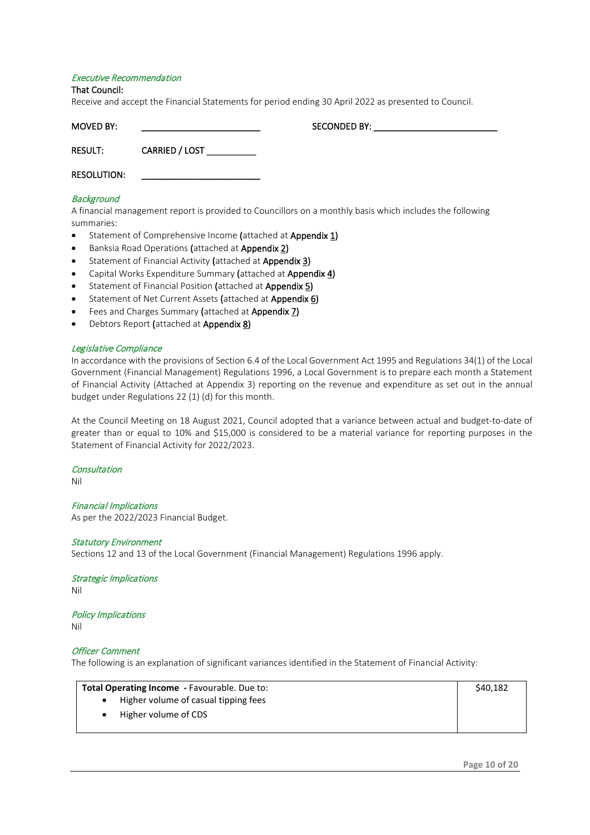#### Executive Recommendation

#### That Council:

Receive and accept the Financial Statements for period ending 30 April 2022 as presented to Council.

| MOVED BY:          |                | SECONDED BY: |  |
|--------------------|----------------|--------------|--|
| <b>RESULT:</b>     | CARRIED / LOST |              |  |
| <b>RESOLUTION:</b> |                |              |  |

#### **Background**

A financial management report is provided to Councillors on a monthly basis which includes the following summaries:

- Statement of Comprehensive Income (attached at Appendix 1)
- Banksia Road Operations (attached at Appendix 2)
- Statement of Financial Activity (attached at Appendix 3)
- Capital Works Expenditure Summary (attached at Appendix 4)
- Statement of Financial Position (attached at Appendix 5)
- Statement of Net Current Assets (attached at Appendix 6)
- Fees and Charges Summary (attached at Appendix 7)
- Debtors Report (attached at Appendix 8)

#### Legislative Compliance

In accordance with the provisions of Section 6.4 of the Local Government Act 1995 and Regulations 34(1) of the Local Government (Financial Management) Regulations 1996, a Local Government is to prepare each month a Statement of Financial Activity (Attached at Appendix 3) reporting on the revenue and expenditure as set out in the annual budget under Regulations 22 (1) (d) for this month.

At the Council Meeting on 18 August 2021, Council adopted that a variance between actual and budget-to-date of greater than or equal to 10% and \$15,000 is considered to be a material variance for reporting purposes in the Statement of Financial Activity for 2022/2023.

#### **Consultation**

Nil

Financial Implications As per the 2022/2023 Financial Budget.

#### Statutory Environment

Sections 12 and 13 of the Local Government (Financial Management) Regulations 1996 apply.

Strategic Implications Nil

Policy Implications Nil

#### Officer Comment

The following is an explanation of significant variances identified in the Statement of Financial Activity:

|  | <b>Total Operating Income</b> - Favourable. Due to: | \$40,182 |
|--|-----------------------------------------------------|----------|
|  | Higher volume of casual tipping fees                |          |
|  | Higher volume of CDS                                |          |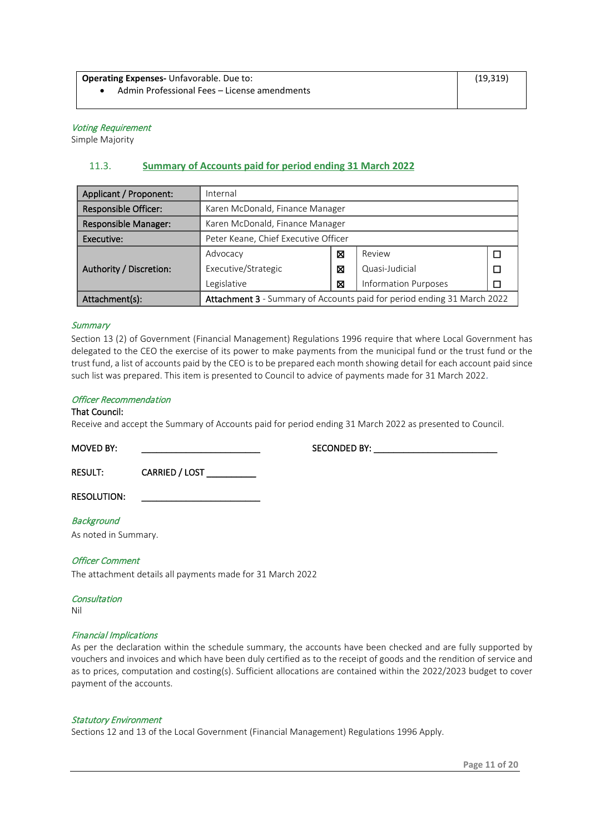**Operating Expenses-** Unfavorable. Due to:

• Admin Professional Fees – License amendments

#### Voting Requirement

Simple Majority

#### <span id="page-10-0"></span>11.3. **Summary of Accounts paid for period ending 31 March 2022**

| Applicant / Proponent:      | Internal                                                                |   |                |   |  |
|-----------------------------|-------------------------------------------------------------------------|---|----------------|---|--|
| <b>Responsible Officer:</b> | Karen McDonald, Finance Manager                                         |   |                |   |  |
| <b>Responsible Manager:</b> | Karen McDonald, Finance Manager                                         |   |                |   |  |
| Executive:                  | Peter Keane, Chief Executive Officer                                    |   |                |   |  |
|                             | Advocacy                                                                | ⊠ | Review         | П |  |
| Authority / Discretion:     | Executive/Strategic                                                     | ⊠ | Quasi-Judicial | П |  |
|                             | <b>Information Purposes</b><br>Legislative<br>⊠                         |   |                |   |  |
| Attachment(s):              | Attachment 3 - Summary of Accounts paid for period ending 31 March 2022 |   |                |   |  |

#### **Summary**

Section 13 (2) of Government (Financial Management) Regulations 1996 require that where Local Government has delegated to the CEO the exercise of its power to make payments from the municipal fund or the trust fund or the trust fund, a list of accounts paid by the CEO is to be prepared each month showing detail for each account paid since such list was prepared. This item is presented to Council to advice of payments made for 31 March 2022.

#### Officer Recommendation

#### That Council:

Receive and accept the Summary of Accounts paid for period ending 31 March 2022 as presented to Council.

MOVED BY: \_\_\_\_\_\_\_\_\_\_\_\_\_\_\_\_\_\_\_\_\_\_\_\_ SECONDED BY: \_\_\_\_\_\_\_\_\_\_\_\_\_\_\_\_\_\_\_\_\_\_\_\_\_

RESULT: CARRIED / LOST

RESOLUTION:

#### **Background**

As noted in Summary.

#### Officer Comment

The attachment details all payments made for 31 March 2022

#### **Consultation**

Nil

#### Financial Implications

As per the declaration within the schedule summary, the accounts have been checked and are fully supported by vouchers and invoices and which have been duly certified as to the receipt of goods and the rendition of service and as to prices, computation and costing(s). Sufficient allocations are contained within the 2022/2023 budget to cover payment of the accounts.

#### Statutory Environment

Sections 12 and 13 of the Local Government (Financial Management) Regulations 1996 Apply.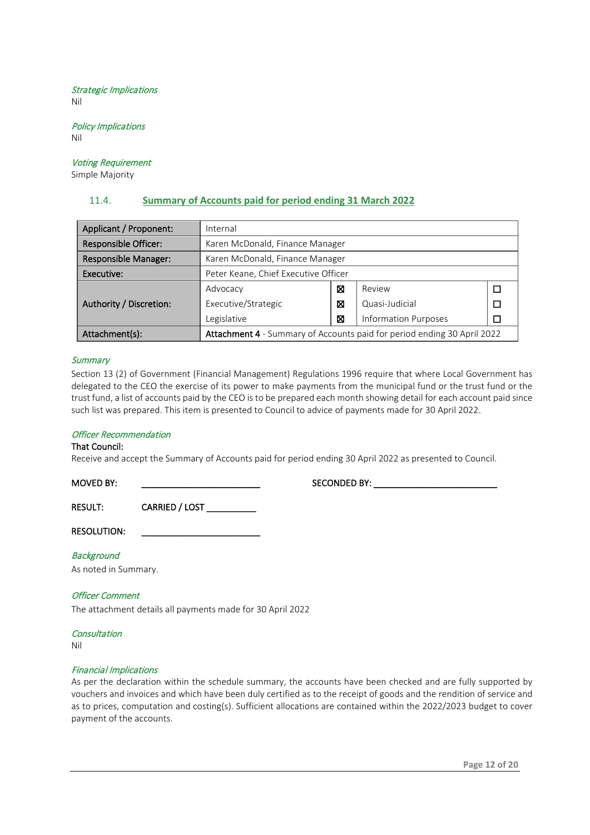#### Strategic Implications Nil

Policy Implications Nil

### Voting Requirement

Simple Majority

#### <span id="page-11-0"></span>11.4. **Summary of Accounts paid for period ending 31 March 2022**

| Applicant / Proponent:                          | Internal                                                                |   |                |  |
|-------------------------------------------------|-------------------------------------------------------------------------|---|----------------|--|
| <b>Responsible Officer:</b>                     | Karen McDonald, Finance Manager                                         |   |                |  |
| Responsible Manager:                            | Karen McDonald, Finance Manager                                         |   |                |  |
| Executive:                                      | Peter Keane, Chief Executive Officer                                    |   |                |  |
|                                                 | Advocacy                                                                | ⊠ | Review         |  |
| Authority / Discretion:                         | Executive/Strategic                                                     | ⊠ | Quasi-Judicial |  |
| <b>Information Purposes</b><br>Legislative<br>⊠ |                                                                         |   |                |  |
| Attachment(s):                                  | Attachment 4 - Summary of Accounts paid for period ending 30 April 2022 |   |                |  |

#### **Summary**

Section 13 (2) of Government (Financial Management) Regulations 1996 require that where Local Government has delegated to the CEO the exercise of its power to make payments from the municipal fund or the trust fund or the trust fund, a list of accounts paid by the CEO is to be prepared each month showing detail for each account paid since such list was prepared. This item is presented to Council to advice of payments made for 30 April 2022.

#### Officer Recommendation

#### That Council:

Receive and accept the Summary of Accounts paid for period ending 30 April 2022 as presented to Council.

MOVED BY: \_\_\_\_\_\_\_\_\_\_\_\_\_\_\_\_\_\_\_\_\_\_\_\_ SECONDED BY: \_\_\_\_\_\_\_\_\_\_\_\_\_\_\_\_\_\_\_\_\_\_\_\_\_

RESULT: CARRIED / LOST \_\_\_\_\_\_\_\_\_\_

RESOLUTION:

**Background** As noted in Summary.

#### Officer Comment

The attachment details all payments made for 30 April 2022

#### **Consultation**

Nil

#### Financial Implications

As per the declaration within the schedule summary, the accounts have been checked and are fully supported by vouchers and invoices and which have been duly certified as to the receipt of goods and the rendition of service and as to prices, computation and costing(s). Sufficient allocations are contained within the 2022/2023 budget to cover payment of the accounts.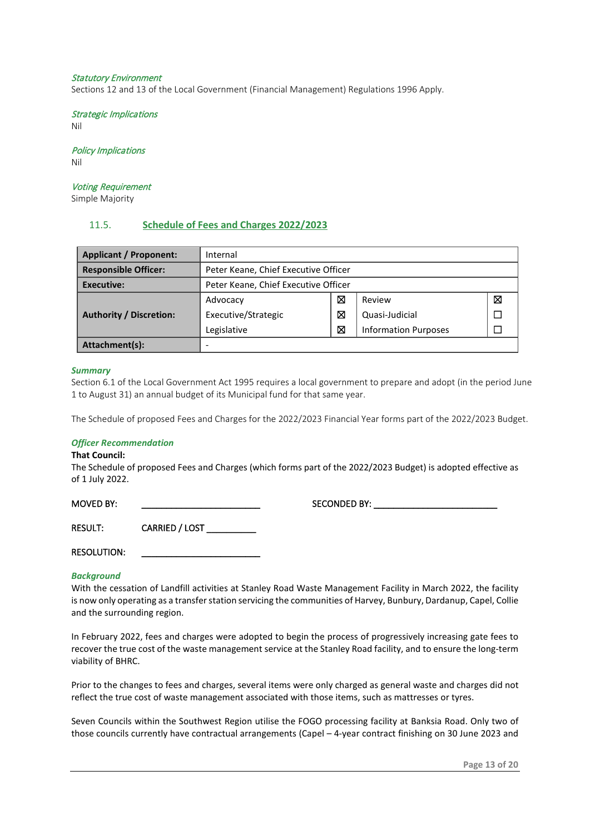#### Statutory Environment

Sections 12 and 13 of the Local Government (Financial Management) Regulations 1996 Apply.

Strategic Implications Nil

Policy Implications Nil

Voting Requirement

Simple Majority

#### <span id="page-12-0"></span>11.5. **Schedule of Fees and Charges 2022/2023**

| <b>Applicant / Proponent:</b>  | Internal                             |   |                             |   |  |
|--------------------------------|--------------------------------------|---|-----------------------------|---|--|
| <b>Responsible Officer:</b>    | Peter Keane, Chief Executive Officer |   |                             |   |  |
| Executive:                     | Peter Keane, Chief Executive Officer |   |                             |   |  |
|                                | Advocacy                             | ⊠ | Review                      | ⊠ |  |
| <b>Authority / Discretion:</b> | Executive/Strategic                  | ⊠ | Quasi-Judicial              |   |  |
|                                | Legislative                          | ⊠ | <b>Information Purposes</b> |   |  |
| Attachment(s):                 |                                      |   |                             |   |  |

#### *Summary*

Section 6.1 of the Local Government Act 1995 requires a local government to prepare and adopt (in the period June 1 to August 31) an annual budget of its Municipal fund for that same year.

The Schedule of proposed Fees and Charges for the 2022/2023 Financial Year forms part of the 2022/2023 Budget.

#### *Officer Recommendation*

#### **That Council:**

The Schedule of proposed Fees and Charges (which forms part of the 2022/2023 Budget) is adopted effective as of 1 July 2022.

MOVED BY: The second of the second of the SECONDED BY:

RESULT: CARRIED / LOST

RESOLUTION:

#### *Background*

With the cessation of Landfill activities at Stanley Road Waste Management Facility in March 2022, the facility is now only operating as a transfer station servicing the communities of Harvey, Bunbury, Dardanup, Capel, Collie and the surrounding region.

In February 2022, fees and charges were adopted to begin the process of progressively increasing gate fees to recover the true cost of the waste management service at the Stanley Road facility, and to ensure the long-term viability of BHRC.

Prior to the changes to fees and charges, several items were only charged as general waste and charges did not reflect the true cost of waste management associated with those items, such as mattresses or tyres.

Seven Councils within the Southwest Region utilise the FOGO processing facility at Banksia Road. Only two of those councils currently have contractual arrangements (Capel – 4-year contract finishing on 30 June 2023 and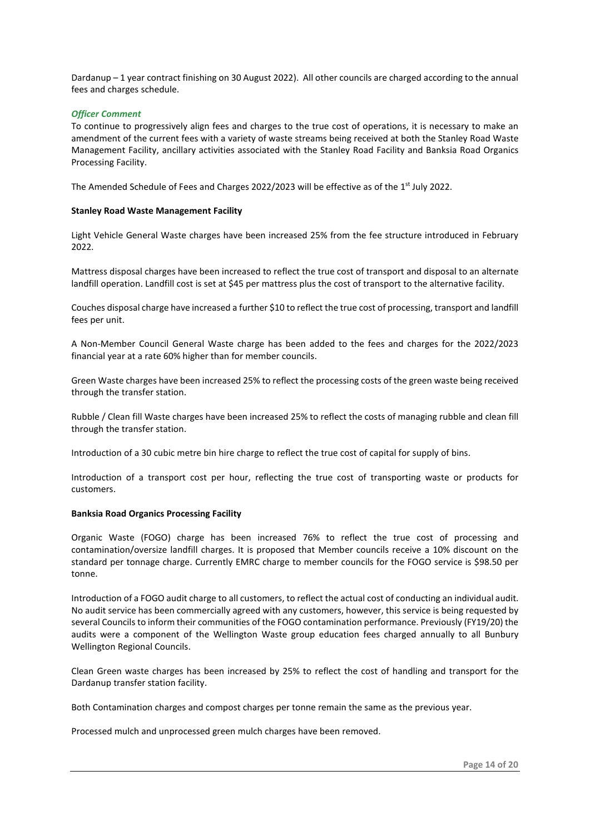Dardanup – 1 year contract finishing on 30 August 2022). All other councils are charged according to the annual fees and charges schedule.

#### *Officer Comment*

To continue to progressively align fees and charges to the true cost of operations, it is necessary to make an amendment of the current fees with a variety of waste streams being received at both the Stanley Road Waste Management Facility, ancillary activities associated with the Stanley Road Facility and Banksia Road Organics Processing Facility.

The Amended Schedule of Fees and Charges 2022/2023 will be effective as of the 1<sup>st</sup> July 2022.

#### **Stanley Road Waste Management Facility**

Light Vehicle General Waste charges have been increased 25% from the fee structure introduced in February 2022.

Mattress disposal charges have been increased to reflect the true cost of transport and disposal to an alternate landfill operation. Landfill cost is set at \$45 per mattress plus the cost of transport to the alternative facility.

Couches disposal charge have increased a further \$10 to reflect the true cost of processing, transport and landfill fees per unit.

A Non-Member Council General Waste charge has been added to the fees and charges for the 2022/2023 financial year at a rate 60% higher than for member councils.

Green Waste charges have been increased 25% to reflect the processing costs of the green waste being received through the transfer station.

Rubble / Clean fill Waste charges have been increased 25% to reflect the costs of managing rubble and clean fill through the transfer station.

Introduction of a 30 cubic metre bin hire charge to reflect the true cost of capital for supply of bins.

Introduction of a transport cost per hour, reflecting the true cost of transporting waste or products for customers.

#### **Banksia Road Organics Processing Facility**

Organic Waste (FOGO) charge has been increased 76% to reflect the true cost of processing and contamination/oversize landfill charges. It is proposed that Member councils receive a 10% discount on the standard per tonnage charge. Currently EMRC charge to member councils for the FOGO service is \$98.50 per tonne.

Introduction of a FOGO audit charge to all customers, to reflect the actual cost of conducting an individual audit. No audit service has been commercially agreed with any customers, however, this service is being requested by several Councils to inform their communities of the FOGO contamination performance. Previously (FY19/20) the audits were a component of the Wellington Waste group education fees charged annually to all Bunbury Wellington Regional Councils.

Clean Green waste charges has been increased by 25% to reflect the cost of handling and transport for the Dardanup transfer station facility.

Both Contamination charges and compost charges per tonne remain the same as the previous year.

Processed mulch and unprocessed green mulch charges have been removed.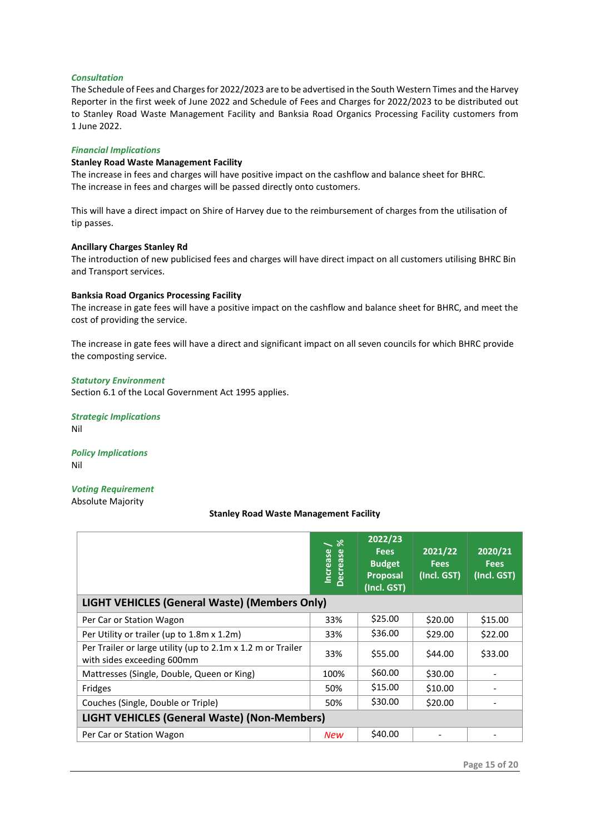#### *Consultation*

The Schedule of Fees and Charges for 2022/2023 are to be advertised in the South Western Times and the Harvey Reporter in the first week of June 2022 and Schedule of Fees and Charges for 2022/2023 to be distributed out to Stanley Road Waste Management Facility and Banksia Road Organics Processing Facility customers from 1 June 2022.

#### *Financial Implications*

#### **Stanley Road Waste Management Facility**

The increase in fees and charges will have positive impact on the cashflow and balance sheet for BHRC. The increase in fees and charges will be passed directly onto customers.

This will have a direct impact on Shire of Harvey due to the reimbursement of charges from the utilisation of tip passes.

#### **Ancillary Charges Stanley Rd**

The introduction of new publicised fees and charges will have direct impact on all customers utilising BHRC Bin and Transport services.

#### **Banksia Road Organics Processing Facility**

The increase in gate fees will have a positive impact on the cashflow and balance sheet for BHRC, and meet the cost of providing the service.

The increase in gate fees will have a direct and significant impact on all seven councils for which BHRC provide the composting service.

#### *Statutory Environment*

Section 6.1 of the Local Government Act 1995 applies.

*Strategic Implications* Nil

*Policy Implications* Nil

### *Voting Requirement*

#### Absolute Majority

#### **Stanley Road Waste Management Facility**

|                                                                                           | ೫<br>Increase<br>Decrease | 2022/23<br><b>Fees</b><br><b>Budget</b><br><b>Proposal</b><br>(Incl. GST) | 2021/22<br><b>Fees</b><br>(Incl. GST) | 2020/21<br><b>Fees</b><br>(Incl. GST) |
|-------------------------------------------------------------------------------------------|---------------------------|---------------------------------------------------------------------------|---------------------------------------|---------------------------------------|
| LIGHT VEHICLES (General Waste) (Members Only)                                             |                           |                                                                           |                                       |                                       |
| Per Car or Station Wagon                                                                  | 33%                       | \$25.00                                                                   | \$20.00                               | \$15.00                               |
| Per Utility or trailer (up to 1.8m x 1.2m)                                                | 33%                       | \$36.00                                                                   | \$29.00                               | \$22.00                               |
| Per Trailer or large utility (up to 2.1m x 1.2 m or Trailer<br>with sides exceeding 600mm | 33%                       | \$55.00                                                                   | \$44.00                               | \$33.00                               |
| Mattresses (Single, Double, Queen or King)                                                | 100%                      | \$60.00                                                                   | \$30.00                               |                                       |
| Fridges                                                                                   | 50%                       | \$15.00                                                                   | \$10.00                               |                                       |
| Couches (Single, Double or Triple)                                                        | 50%                       | \$30.00                                                                   | \$20.00                               |                                       |
| <b>LIGHT VEHICLES (General Waste) (Non-Members)</b>                                       |                           |                                                                           |                                       |                                       |
| Per Car or Station Wagon                                                                  | <b>New</b>                | \$40.00                                                                   |                                       |                                       |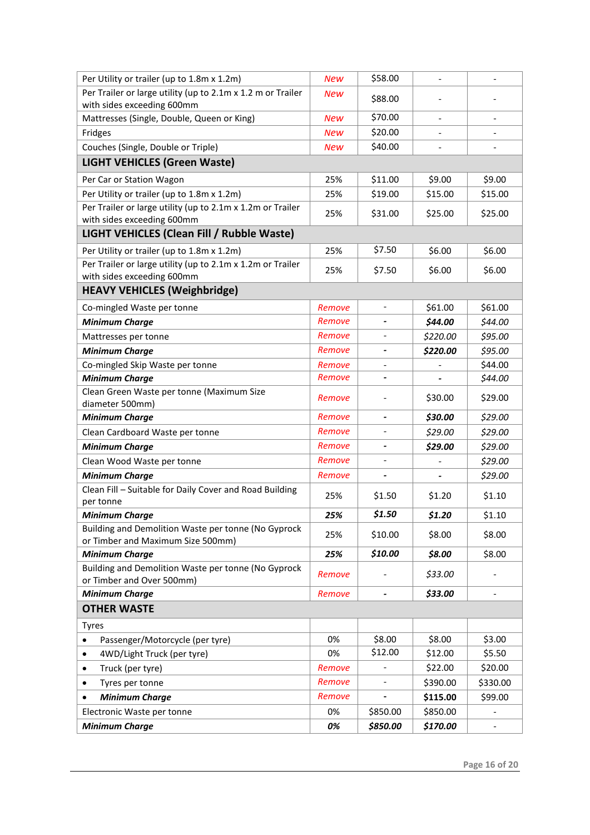| Per Utility or trailer (up to 1.8m x 1.2m)                                               | <b>New</b> | \$58.00                      | $\qquad \qquad \blacksquare$ | $\qquad \qquad \blacksquare$ |  |  |
|------------------------------------------------------------------------------------------|------------|------------------------------|------------------------------|------------------------------|--|--|
| Per Trailer or large utility (up to 2.1m x 1.2 m or Trailer                              | <b>New</b> | \$88.00                      |                              |                              |  |  |
| with sides exceeding 600mm                                                               |            |                              |                              |                              |  |  |
| Mattresses (Single, Double, Queen or King)                                               | <b>New</b> | \$70.00                      |                              |                              |  |  |
| Fridges                                                                                  | <b>New</b> | \$20.00                      |                              |                              |  |  |
| Couches (Single, Double or Triple)                                                       | <b>New</b> | \$40.00                      |                              |                              |  |  |
| <b>LIGHT VEHICLES (Green Waste)</b>                                                      |            |                              |                              |                              |  |  |
| Per Car or Station Wagon                                                                 | 25%        | \$11.00                      | \$9.00                       | \$9.00                       |  |  |
| Per Utility or trailer (up to 1.8m x 1.2m)                                               | 25%        | \$19.00                      | \$15.00                      | \$15.00                      |  |  |
| Per Trailer or large utility (up to 2.1m x 1.2m or Trailer                               | 25%        | \$31.00                      | \$25.00                      | \$25.00                      |  |  |
| with sides exceeding 600mm                                                               |            |                              |                              |                              |  |  |
| LIGHT VEHICLES (Clean Fill / Rubble Waste)                                               |            |                              |                              |                              |  |  |
| Per Utility or trailer (up to 1.8m x 1.2m)                                               | 25%        | \$7.50                       | \$6.00                       | \$6.00                       |  |  |
| Per Trailer or large utility (up to 2.1m x 1.2m or Trailer<br>with sides exceeding 600mm | 25%        | \$7.50                       | \$6.00                       | \$6.00                       |  |  |
| <b>HEAVY VEHICLES (Weighbridge)</b>                                                      |            |                              |                              |                              |  |  |
| Co-mingled Waste per tonne                                                               | Remove     | $\overline{\phantom{0}}$     | \$61.00                      | \$61.00                      |  |  |
| <b>Minimum Charge</b>                                                                    | Remove     |                              | \$44.00                      | \$44.00                      |  |  |
| Mattresses per tonne                                                                     | Remove     |                              | \$220.00                     | \$95.00                      |  |  |
| <b>Minimum Charge</b>                                                                    | Remove     |                              | \$220.00                     | \$95.00                      |  |  |
| Co-mingled Skip Waste per tonne                                                          | Remove     | $\qquad \qquad \blacksquare$ |                              | \$44.00                      |  |  |
| <b>Minimum Charge</b>                                                                    | Remove     | $\qquad \qquad \blacksquare$ |                              | \$44.00                      |  |  |
| Clean Green Waste per tonne (Maximum Size<br>diameter 500mm)                             | Remove     |                              | \$30.00                      | \$29.00                      |  |  |
| <b>Minimum Charge</b>                                                                    | Remove     |                              | \$30.00                      | \$29.00                      |  |  |
| Clean Cardboard Waste per tonne                                                          | Remove     | $\overline{\phantom{a}}$     | \$29.00                      | \$29.00                      |  |  |
| <b>Minimum Charge</b>                                                                    | Remove     |                              | \$29.00                      | \$29.00                      |  |  |
| Clean Wood Waste per tonne                                                               | Remove     |                              |                              | \$29.00                      |  |  |
| <b>Minimum Charge</b>                                                                    | Remove     |                              |                              | \$29.00                      |  |  |
| Clean Fill - Suitable for Daily Cover and Road Building<br>per tonne                     | 25%        | \$1.50                       | \$1.20                       | \$1.10                       |  |  |
| <b>Minimum Charge</b>                                                                    | 25%        | \$1.50                       | \$1.20                       | \$1.10                       |  |  |
| Building and Demolition Waste per tonne (No Gyprock<br>or Timber and Maximum Size 500mm) | 25%        | \$10.00                      | \$8.00                       | \$8.00                       |  |  |
| <b>Minimum Charge</b>                                                                    | 25%        | \$10.00                      | \$8.00                       | \$8.00                       |  |  |
| Building and Demolition Waste per tonne (No Gyprock<br>or Timber and Over 500mm)         | Remove     |                              | \$33.00                      |                              |  |  |
| <b>Minimum Charge</b>                                                                    | Remove     |                              | \$33.00                      |                              |  |  |
| <b>OTHER WASTE</b>                                                                       |            |                              |                              |                              |  |  |
| <b>Tyres</b>                                                                             |            |                              |                              |                              |  |  |
| Passenger/Motorcycle (per tyre)                                                          | 0%         | \$8.00                       | \$8.00                       | \$3.00                       |  |  |
| 4WD/Light Truck (per tyre)                                                               | 0%         | \$12.00                      | \$12.00                      | \$5.50                       |  |  |
| Truck (per tyre)<br>٠                                                                    | Remove     |                              | \$22.00                      | \$20.00                      |  |  |
| Tyres per tonne<br>٠                                                                     | Remove     |                              | \$390.00                     | \$330.00                     |  |  |
| <b>Minimum Charge</b>                                                                    | Remove     |                              | \$115.00                     | \$99.00                      |  |  |
| Electronic Waste per tonne                                                               | 0%         | \$850.00                     | \$850.00                     |                              |  |  |
| <b>Minimum Charge</b>                                                                    | 0%         | \$850.00                     | \$170.00                     |                              |  |  |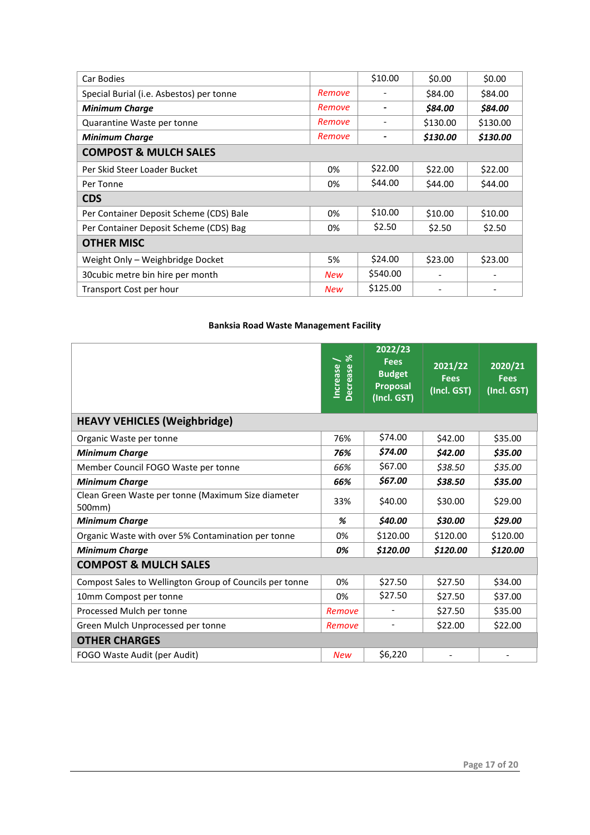| Car Bodies                               |            | \$10.00  | \$0.00   | \$0.00   |  |  |  |
|------------------------------------------|------------|----------|----------|----------|--|--|--|
| Special Burial (i.e. Asbestos) per tonne | Remove     |          | \$84.00  | \$84.00  |  |  |  |
| <b>Minimum Charge</b>                    | Remove     |          | \$84.00  | \$84.00  |  |  |  |
| Quarantine Waste per tonne               | Remove     |          | \$130.00 | \$130.00 |  |  |  |
| <b>Minimum Charge</b>                    | Remove     |          | \$130.00 | \$130.00 |  |  |  |
| <b>COMPOST &amp; MULCH SALES</b>         |            |          |          |          |  |  |  |
| Per Skid Steer Loader Bucket             | 0%         | \$22.00  | \$22.00  | \$22.00  |  |  |  |
| Per Tonne                                | 0%         | \$44.00  | \$44.00  | \$44.00  |  |  |  |
| <b>CDS</b>                               |            |          |          |          |  |  |  |
| Per Container Deposit Scheme (CDS) Bale  | 0%         | \$10.00  | \$10.00  | \$10.00  |  |  |  |
| Per Container Deposit Scheme (CDS) Bag   | 0%         | \$2.50   | \$2.50   | \$2.50   |  |  |  |
| <b>OTHER MISC</b>                        |            |          |          |          |  |  |  |
| Weight Only - Weighbridge Docket         | 5%         | \$24.00  | \$23.00  | \$23.00  |  |  |  |
| 30 cubic metre bin hire per month        | <b>New</b> | \$540.00 |          |          |  |  |  |
| Transport Cost per hour                  | New        | \$125.00 |          |          |  |  |  |

#### **Banksia Road Waste Management Facility**

|                                                              | $\aleph$<br>Increase<br><b>Decrease</b> | 2022/23<br><b>Fees</b><br><b>Budget</b><br><b>Proposal</b><br>(Incl. GST) | 2021/22<br><b>Fees</b><br>(Incl. GST) | 2020/21<br><b>Fees</b><br>(Incl. GST) |  |  |
|--------------------------------------------------------------|-----------------------------------------|---------------------------------------------------------------------------|---------------------------------------|---------------------------------------|--|--|
| <b>HEAVY VEHICLES (Weighbridge)</b>                          |                                         |                                                                           |                                       |                                       |  |  |
| Organic Waste per tonne                                      | 76%                                     | \$74.00                                                                   | \$42.00                               | \$35.00                               |  |  |
| <b>Minimum Charge</b>                                        | 76%                                     | \$74.00                                                                   | \$42.00                               | \$35.00                               |  |  |
| Member Council FOGO Waste per tonne                          | 66%                                     | \$67.00                                                                   | \$38.50                               | \$35.00                               |  |  |
| <b>Minimum Charge</b>                                        | 66%                                     | \$67.00                                                                   | \$38.50                               | \$35.00                               |  |  |
| Clean Green Waste per tonne (Maximum Size diameter<br>500mm) | 33%                                     | \$40.00                                                                   | \$30.00                               | \$29.00                               |  |  |
| <b>Minimum Charge</b>                                        | %                                       | \$40.00                                                                   | \$30.00                               | \$29.00                               |  |  |
| Organic Waste with over 5% Contamination per tonne           | 0%                                      | \$120.00                                                                  | \$120.00                              | \$120.00                              |  |  |
| <b>Minimum Charge</b>                                        | 0%                                      | \$120.00                                                                  | \$120.00                              | \$120.00                              |  |  |
| <b>COMPOST &amp; MULCH SALES</b>                             |                                         |                                                                           |                                       |                                       |  |  |
| Compost Sales to Wellington Group of Councils per tonne      | 0%                                      | \$27.50                                                                   | \$27.50                               | \$34.00                               |  |  |
| 10mm Compost per tonne                                       | 0%                                      | \$27.50                                                                   | \$27.50                               | \$37.00                               |  |  |
| Processed Mulch per tonne                                    | Remove                                  |                                                                           | \$27.50                               | \$35.00                               |  |  |
| Green Mulch Unprocessed per tonne                            | Remove                                  |                                                                           | \$22.00                               | \$22.00                               |  |  |
| <b>OTHER CHARGES</b>                                         |                                         |                                                                           |                                       |                                       |  |  |
| FOGO Waste Audit (per Audit)                                 | <b>New</b>                              | \$6,220                                                                   |                                       |                                       |  |  |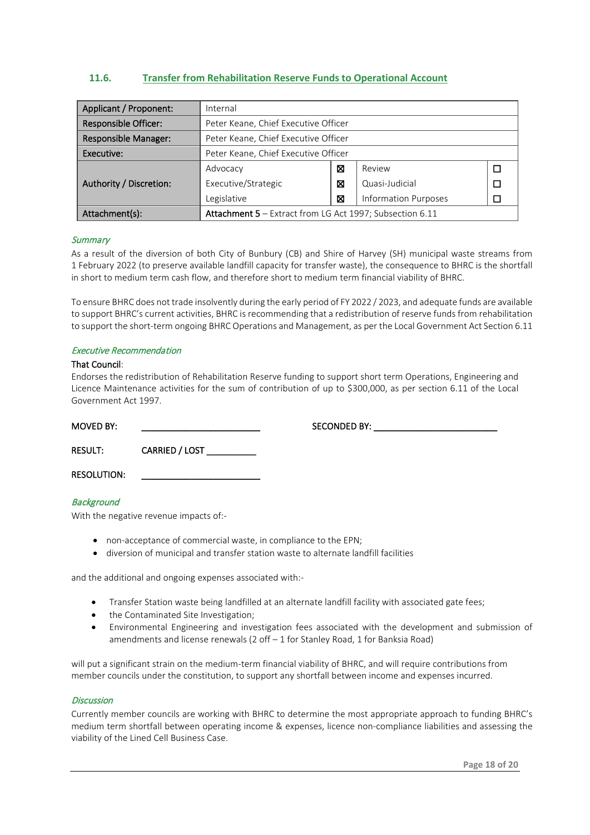#### <span id="page-17-0"></span>**11.6. Transfer from Rehabilitation Reserve Funds to Operational Account**

| Applicant / Proponent:      | Internal                                                        |   |                             |  |  |
|-----------------------------|-----------------------------------------------------------------|---|-----------------------------|--|--|
| <b>Responsible Officer:</b> | Peter Keane, Chief Executive Officer                            |   |                             |  |  |
| <b>Responsible Manager:</b> | Peter Keane, Chief Executive Officer                            |   |                             |  |  |
| Executive:                  | Peter Keane, Chief Executive Officer                            |   |                             |  |  |
|                             | Advocacy                                                        | X | Review                      |  |  |
| Authority / Discretion:     | Executive/Strategic                                             | ⊠ | Quasi-Judicial              |  |  |
|                             | Legislative                                                     | X | <b>Information Purposes</b> |  |  |
| Attachment(s):              | <b>Attachment 5</b> - Extract from LG Act 1997; Subsection 6.11 |   |                             |  |  |

#### **Summary**

As a result of the diversion of both City of Bunbury (CB) and Shire of Harvey (SH) municipal waste streams from 1 February 2022 (to preserve available landfill capacity for transfer waste), the consequence to BHRC is the shortfall in short to medium term cash flow, and therefore short to medium term financial viability of BHRC.

To ensure BHRC does not trade insolvently during the early period of FY 2022 / 2023, and adequate funds are available to support BHRC's current activities, BHRC is recommending that a redistribution of reserve funds from rehabilitation to support the short-term ongoing BHRC Operations and Management, as per the Local Government Act Section 6.11

#### Executive Recommendation

#### That Council:

Endorses the redistribution of Rehabilitation Reserve funding to support short term Operations, Engineering and Licence Maintenance activities for the sum of contribution of up to \$300,000, as per section 6.11 of the Local Government Act 1997.

| <b>MOVED BY:</b>   | the control of the control of the control of the control of | SECONDED BY: |
|--------------------|-------------------------------------------------------------|--------------|
| <b>RESULT:</b>     | CARRIED / LOST                                              |              |
| <b>RESOLUTION:</b> |                                                             |              |

#### **Background**

With the negative revenue impacts of:-

- non-acceptance of commercial waste, in compliance to the EPN;
- diversion of municipal and transfer station waste to alternate landfill facilities

and the additional and ongoing expenses associated with:-

- Transfer Station waste being landfilled at an alternate landfill facility with associated gate fees;
- the Contaminated Site Investigation;
- Environmental Engineering and investigation fees associated with the development and submission of amendments and license renewals (2 off – 1 for Stanley Road, 1 for Banksia Road)

will put a significant strain on the medium-term financial viability of BHRC, and will require contributions from member councils under the constitution, to support any shortfall between income and expenses incurred.

#### **Discussion**

Currently member councils are working with BHRC to determine the most appropriate approach to funding BHRC's medium term shortfall between operating income & expenses, licence non-compliance liabilities and assessing the viability of the Lined Cell Business Case.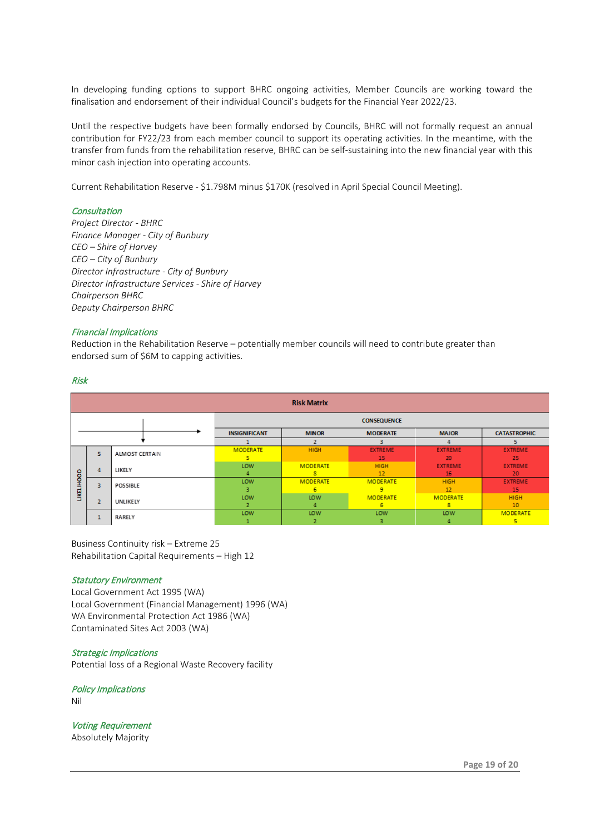In developing funding options to support BHRC ongoing activities, Member Councils are working toward the finalisation and endorsement of their individual Council's budgets for the Financial Year 2022/23.

Until the respective budgets have been formally endorsed by Councils, BHRC will not formally request an annual contribution for FY22/23 from each member council to support its operating activities. In the meantime, with the transfer from funds from the rehabilitation reserve, BHRC can be self-sustaining into the new financial year with this minor cash injection into operating accounts.

Current Rehabilitation Reserve - \$1.798M minus \$170K (resolved in April Special Council Meeting).

#### **Consultation**

*Project Director - BHRC Finance Manager - City of Bunbury CEO – Shire of Harvey CEO – City of Bunbury Director Infrastructure - City of Bunbury Director Infrastructure Services - Shire of Harvey Chairperson BHRC Deputy Chairperson BHRC*

#### Financial Implications

Reduction in the Rehabilitation Reserve – potentially member councils will need to contribute greater than endorsed sum of \$6M to capping activities.

#### Risk

| <b>Risk Matrix</b> |                |                       |                      |                                 |                 |                 |                     |  |
|--------------------|----------------|-----------------------|----------------------|---------------------------------|-----------------|-----------------|---------------------|--|
|                    |                |                       | <b>CONSEQUENCE</b>   |                                 |                 |                 |                     |  |
|                    |                |                       | <b>INSIGNIFICANT</b> | <b>MINOR</b><br><b>MODERATE</b> |                 | <b>MAJOR</b>    | <b>CATASTROPHIC</b> |  |
|                    |                |                       |                      |                                 |                 |                 |                     |  |
| <b>LIKELIHOOD</b>  | 5.             | <b>ALMOST CERTAIN</b> | <b>MODERATE</b>      | <b>HIGH</b>                     | <b>EXTREME</b>  | <b>EXTREME</b>  | <b>EXTREME</b>      |  |
|                    |                |                       |                      |                                 | 15              | 20              | 25                  |  |
|                    | $\sqrt{4}$     | LIKELY                | LOW                  | <b>MODERATE</b>                 | <b>HIGH</b>     | <b>EXTREME</b>  | <b>EXTREME</b>      |  |
|                    |                |                       |                      | 8                               | 12              | 16              | 20                  |  |
|                    | з              | <b>POSSIBLE</b>       | LOW                  | <b>MODERATE</b>                 | <b>MODERATE</b> | <b>HIGH</b>     | <b>EXTREME</b>      |  |
|                    |                |                       | з                    | 6                               | 9               | 12              | 15                  |  |
|                    | $\overline{2}$ | UNLIKELY              | LOW                  | LOW                             | <b>MODERATE</b> | <b>MODERATE</b> | <b>HIGH</b>         |  |
|                    |                |                       |                      |                                 | 6               | 8               | 10                  |  |
|                    | $\bullet$      |                       | LOW                  | LOW                             | LOW             | LOW             | <b>MODERATE</b>     |  |
|                    |                | <b>RARELY</b>         |                      |                                 | з               |                 | 5                   |  |

Business Continuity risk – Extreme 25 Rehabilitation Capital Requirements – High 12

#### Statutory Environment

Local Government Act 1995 (WA) Local Government (Financial Management) 1996 (WA) WA Environmental Protection Act 1986 (WA) Contaminated Sites Act 2003 (WA)

#### Strategic Implications

Potential loss of a Regional Waste Recovery facility

Policy Implications Nil

Voting Requirement Absolutely Majority